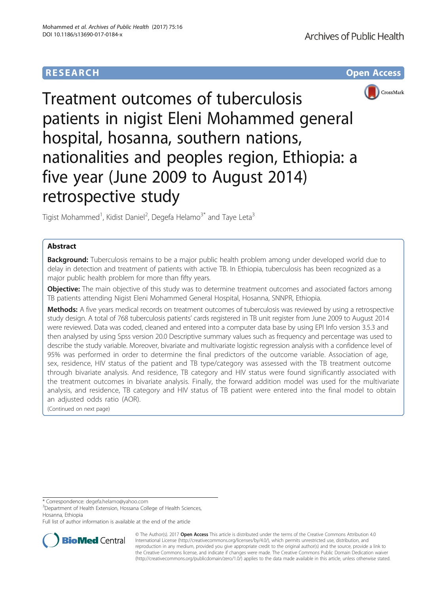

# Treatment outcomes of tuberculosis patients in nigist Eleni Mohammed general hospital, hosanna, southern nations, nationalities and peoples region, Ethiopia: a five year (June 2009 to August 2014) retrospective study

Tigist Mohammed<sup>1</sup>, Kidist Daniel<sup>2</sup>, Degefa Helamo<sup>3\*</sup> and Taye Leta<sup>3</sup>

# Abstract

**Background:** Tuberculosis remains to be a major public health problem among under developed world due to delay in detection and treatment of patients with active TB. In Ethiopia, tuberculosis has been recognized as a major public health problem for more than fifty years.

**Objective:** The main objective of this study was to determine treatment outcomes and associated factors among TB patients attending Nigist Eleni Mohammed General Hospital, Hosanna, SNNPR, Ethiopia.

Methods: A five years medical records on treatment outcomes of tuberculosis was reviewed by using a retrospective study design. A total of 768 tuberculosis patients' cards registered in TB unit register from June 2009 to August 2014 were reviewed. Data was coded, cleaned and entered into a computer data base by using EPI Info version 3.5.3 and then analysed by using Spss version 20.0 Descriptive summary values such as frequency and percentage was used to describe the study variable. Moreover, bivariate and multivariate logistic regression analysis with a confidence level of 95% was performed in order to determine the final predictors of the outcome variable. Association of age, sex, residence, HIV status of the patient and TB type/category was assessed with the TB treatment outcome through bivariate analysis. And residence, TB category and HIV status were found significantly associated with the treatment outcomes in bivariate analysis. Finally, the forward addition model was used for the multivariate analysis, and residence, TB category and HIV status of TB patient were entered into the final model to obtain an adjusted odds ratio (AOR).

(Continued on next page)

Full list of author information is available at the end of the article



© The Author(s). 2017 **Open Access** This article is distributed under the terms of the Creative Commons Attribution 4.0 International License [\(http://creativecommons.org/licenses/by/4.0/](http://creativecommons.org/licenses/by/4.0/)), which permits unrestricted use, distribution, and reproduction in any medium, provided you give appropriate credit to the original author(s) and the source, provide a link to the Creative Commons license, and indicate if changes were made. The Creative Commons Public Domain Dedication waiver [\(http://creativecommons.org/publicdomain/zero/1.0/](http://creativecommons.org/publicdomain/zero/1.0/)) applies to the data made available in this article, unless otherwise stated.

<sup>\*</sup> Correspondence: [degefa.helamo@yahoo.com](mailto:degefa.helamo@yahoo.com) <sup>3</sup>

<sup>&</sup>lt;sup>3</sup>Department of Health Extension, Hossana College of Health Sciences, Hosanna, Ethiopia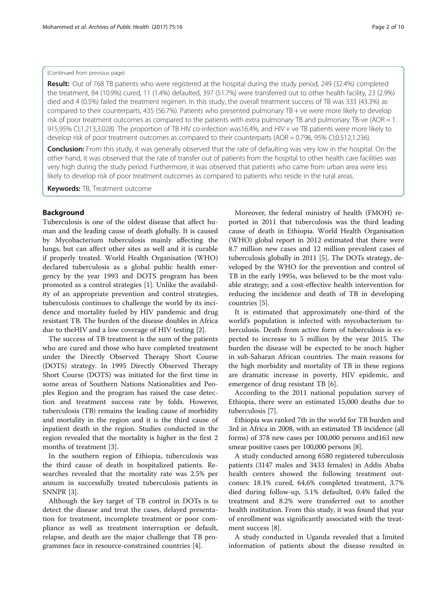## (Continued from previous page)

Result: Out of 768 TB patients who were registered at the hospital during the study period, 249 (32.4%) completed the treatment, 84 (10.9%) cured, 11 (1.4%) defaulted, 397 (51.7%) were transferred out to other health facility, 23 (2.9%) died and 4 (0.5%) failed the treatment regimen. In this study, the overall treatment success of TB was 333 (43.3%) as compared to their counterparts, 435 (56.7%). Patients who presented pulmonary TB + ve were more likely to develop risk of poor treatment outcomes as compared to the patients with extra pulmonary TB and pulmonary TB-ve (AOR = 1. 915,95% CI;1.213,3.028). The proportion of TB HIV co-infection was16.4%, and HIV + ve TB patients were more likely to develop risk of poor treatment outcomes as compared to their counterparts (AOR = 0.796, 95% CI;0.512,1.236).

**Conclusion:** From this study, it was generally observed that the rate of defaulting was very low in the hospital. On the other hand, it was observed that the rate of transfer out of patients from the hospital to other health care facilities was very high during the study period. Furthermore, it was observed that patients who came from urban area were less likely to develop risk of poor treatment outcomes as compared to patients who reside in the rural areas.

**Keywords: TB, Treatment outcome** 

# Background

Tuberculosis is one of the oldest disease that affect human and the leading cause of death globally. It is caused by Mycobacterium tuberculosis mainly affecting the lungs, but can affect other sites as well and it is curable if properly treated. World Health Organisation (WHO) declared tuberculosis as a global public health emergency by the year 1993 and DOTS program has been promoted as a control strategies [\[1\]](#page-8-0). Unlike the availability of an appropriate prevention and control strategies, tuberculosis continues to challenge the world by its incidence and mortality fueled by HIV pandemic and drug resistant TB. The burden of the disease doubles in Africa due to theHIV and a low coverage of HIV testing [[2\]](#page-8-0).

The success of TB treatment is the sum of the patients who are cured and those who have completed treatment under the Directly Observed Therapy Short Course (DOTS) strategy. In 1995 Directly Observed Therapy Short Course (DOTS) was initiated for the first time in some areas of Southern Nations Nationalities and Peoples Region and the program has raised the case detection and treatment success rate by folds. However, tuberculosis (TB) remains the leading cause of morbidity and mortality in the region and it is the third cause of inpatient death in the region. Studies conducted in the region revealed that the mortality is higher in the first 2 months of treatment [[3\]](#page-8-0).

In the southern region of Ethiopia, tuberculosis was the third cause of death in hospitalized patients. Researches revealed that the mortality rate was 2.5% per annum in successfully treated tuberculosis patients in SNNPR [\[3](#page-8-0)].

Although the key target of TB control in DOTs is to detect the disease and treat the cases, delayed presentation for treatment, incomplete treatment or poor compliance as well as treatment interruption or default, relapse, and death are the major challenge that TB programmes face in resource-constrained countries [[4\]](#page-8-0).

Moreover, the federal ministry of health (FMOH) reported in 2011 that tuberculosis was the third leading cause of death in Ethiopia. World Health Organisation (WHO) global report in 2012 estimated that there were 8.7 million new cases and 12 million prevalent cases of tuberculosis globally in 2011 [\[5](#page-8-0)]. The DOTs strategy, developed by the WHO for the prevention and control of TB in the early 1995s, was believed to be the most valuable strategy; and a cost-effective health intervention for reducing the incidence and death of TB in developing countries [[5\]](#page-8-0).

It is estimated that approximately one-third of the world's population is infected with mycobacterium tuberculosis. Death from active form of tuberculosis is expected to increase to 5 million by the year 2015. The burden the disease will be expected to be much higher in sub-Saharan African countries. The main reasons for the high morbidity and mortality of TB in these regions are dramatic increase in poverty, HIV epidemic, and emergence of drug resistant TB [\[6](#page-8-0)].

According to the 2011 national population survey of Ethiopia, there were an estimated 15,000 deaths due to tuberculosis [[7\]](#page-8-0).

Ethiopia was ranked 7th in the world for TB burden and 3rd in Africa in 2008, with an estimated TB incidence (all forms) of 378 new cases per 100,000 persons and163 new smear positive cases per 100,000 persons [\[8](#page-8-0)].

A study conducted among 6580 registered tuberculosis patients (3147 males and 3433 females) in Addis Ababa health centers showed the following treatment outcomes: 18.1% cured, 64.6% completed treatment, 3.7% died during follow-up, 5.1% defaulted, 0.4% failed the treatment and 8.2% were transferred out to another health institution. From this study, it was found that year of enrollment was significantly associated with the treatment success [[8\]](#page-8-0).

A study conducted in Uganda revealed that a limited information of patients about the disease resulted in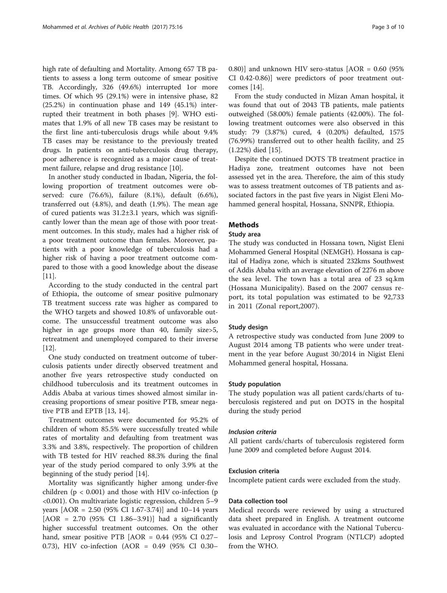high rate of defaulting and Mortality. Among 657 TB patients to assess a long term outcome of smear positive TB. Accordingly, 326 (49.6%) interrupted 1or more times. Of which 95 (29.1%) were in intensive phase, 82 (25.2%) in continuation phase and 149 (45.1%) interrupted their treatment in both phases [\[9](#page-8-0)]. WHO estimates that 1.9% of all new TB cases may be resistant to the first line anti-tuberculosis drugs while about 9.4% TB cases may be resistance to the previously treated drugs. In patients on anti-tuberculosis drug therapy, poor adherence is recognized as a major cause of treatment failure, relapse and drug resistance [[10\]](#page-8-0).

In another study conducted in Ibadan, Nigeria, the following proportion of treatment outcomes were observed: cure (76.6%), failure (8.1%), default (6.6%), transferred out (4.8%), and death (1.9%). The mean age of cured patients was 31.2±3.1 years, which was significantly lower than the mean age of those with poor treatment outcomes. In this study, males had a higher risk of a poor treatment outcome than females. Moreover, patients with a poor knowledge of tuberculosis had a higher risk of having a poor treatment outcome compared to those with a good knowledge about the disease [[11\]](#page-8-0).

According to the study conducted in the central part of Ethiopia, the outcome of smear positive pulmonary TB treatment success rate was higher as compared to the WHO targets and showed 10.8% of unfavorable outcome. The unsuccessful treatment outcome was also higher in age groups more than 40, family size>5, retreatment and unemployed compared to their inverse [[12\]](#page-8-0).

One study conducted on treatment outcome of tuberculosis patients under directly observed treatment and another five years retrospective study conducted on childhood tuberculosis and its treatment outcomes in Addis Ababa at various times showed almost similar increasing proportions of smear positive PTB, smear negative PTB and EPTB [[13, 14\]](#page-8-0).

Treatment outcomes were documented for 95.2% of children of whom 85.5% were successfully treated while rates of mortality and defaulting from treatment was 3.3% and 3.8%, respectively. The proportion of children with TB tested for HIV reached 88.3% during the final year of the study period compared to only 3.9% at the beginning of the study period [[14\]](#page-8-0).

Mortality was significantly higher among under-five children ( $p < 0.001$ ) and those with HIV co-infection ( $p$ ) <0.001). On multivariate logistic regression, children 5–9 years [AOR = 2.50 (95% CI 1.67-3.74)] and 10–14 years  $[AOR = 2.70 (95\% CI 1.86-3.91)]$  had a significantly higher successful treatment outcomes. On the other hand, smear positive PTB  $[AOR = 0.44 (95\% \text{ CI } 0.27 -$ 0.73), HIV co-infection (AOR = 0.49 (95% CI 0.30–

0.80)] and unknown HIV sero-status  $[AOR = 0.60 (95\%)$ CI 0.42-0.86)] were predictors of poor treatment outcomes [[14\]](#page-8-0).

From the study conducted in Mizan Aman hospital, it was found that out of 2043 TB patients, male patients outweighed (58.00%) female patients (42.00%). The following treatment outcomes were also observed in this study: 79 (3.87%) cured, 4 (0.20%) defaulted, 1575 (76.99%) transferred out to other health facility, and 25 (1.22%) died [\[15](#page-8-0)].

Despite the continued DOTS TB treatment practice in Hadiya zone, treatment outcomes have not been assessed yet in the area. Therefore, the aim of this study was to assess treatment outcomes of TB patients and associated factors in the past five years in Nigist Eleni Mohammed general hospital, Hossana, SNNPR, Ethiopia.

## Methods

## Study area

The study was conducted in Hossana town, Nigist Eleni Mohammed General Hospital (NEMGH). Hossana is capital of Hadiya zone, which is situated 232kms Southwest of Addis Ababa with an average elevation of 2276 m above the sea level. The town has a total area of 23 sq.km (Hossana Municipality). Based on the 2007 census report, its total population was estimated to be 92,733 in 2011 (Zonal report,2007).

#### Study design

A retrospective study was conducted from June 2009 to August 2014 among TB patients who were under treatment in the year before August 30/2014 in Nigist Eleni Mohammed general hospital, Hossana.

## Study population

The study population was all patient cards/charts of tuberculosis registered and put on DOTS in the hospital during the study period

#### Inclusion criteria

All patient cards/charts of tuberculosis registered form June 2009 and completed before August 2014.

## Exclusion criteria

Incomplete patient cards were excluded from the study.

#### Data collection tool

Medical records were reviewed by using a structured data sheet prepared in English. A treatment outcome was evaluated in accordance with the National Tuberculosis and Leprosy Control Program (NTLCP) adopted from the WHO.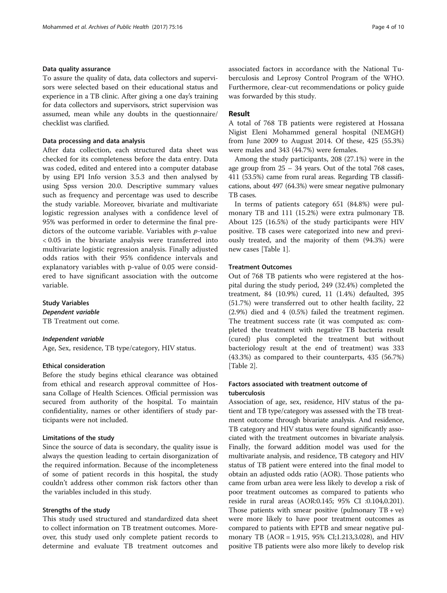## Data quality assurance

To assure the quality of data, data collectors and supervisors were selected based on their educational status and experience in a TB clinic. After giving a one day's training for data collectors and supervisors, strict supervision was assumed, mean while any doubts in the questionnaire/ checklist was clarified.

#### Data processing and data analysis

After data collection, each structured data sheet was checked for its completeness before the data entry. Data was coded, edited and entered into a computer database by using EPI Info version 3.5.3 and then analysed by using Spss version 20.0. Descriptive summary values such as frequency and percentage was used to describe the study variable. Moreover, bivariate and multivariate logistic regression analyses with a confidence level of 95% was performed in order to determine the final predictors of the outcome variable. Variables with p-value < 0.05 in the bivariate analysis were transferred into multivariate logistic regression analysis. Finally adjusted odds ratios with their 95% confidence intervals and explanatory variables with p-value of 0.05 were considered to have significant association with the outcome variable.

Study Variables Dependent variable TB Treatment out come.

#### Independent variable

Age, Sex, residence, TB type/category, HIV status.

#### Ethical consideration

Before the study begins ethical clearance was obtained from ethical and research approval committee of Hossana Collage of Health Sciences. Official permission was secured from authority of the hospital. To maintain confidentiality, names or other identifiers of study participants were not included.

#### Limitations of the study

Since the source of data is secondary, the quality issue is always the question leading to certain disorganization of the required information. Because of the incompleteness of some of patient records in this hospital, the study couldn't address other common risk factors other than the variables included in this study.

## Strengths of the study

This study used structured and standardized data sheet to collect information on TB treatment outcomes. Moreover, this study used only complete patient records to determine and evaluate TB treatment outcomes and associated factors in accordance with the National Tuberculosis and Leprosy Control Program of the WHO. Furthermore, clear-cut recommendations or policy guide was forwarded by this study.

#### Result

A total of 768 TB patients were registered at Hossana Nigist Eleni Mohammed general hospital (NEMGH) from June 2009 to August 2014. Of these, 425 (55.3%) were males and 343 (44.7%) were females.

Among the study participants, 208 (27.1%) were in the age group from 25 – 34 years. Out of the total 768 cases, 411 (53.5%) came from rural areas. Regarding TB classifications, about 497 (64.3%) were smear negative pulmonary TB cases.

In terms of patients category 651 (84.8%) were pulmonary TB and 111 (15.2%) were extra pulmonary TB. About 125 (16.5%) of the study participants were HIV positive. TB cases were categorized into new and previously treated, and the majority of them (94.3%) were new cases [Table [1](#page-4-0)].

#### Treatment Outcomes

Out of 768 TB patients who were registered at the hospital during the study period, 249 (32.4%) completed the treatment, 84 (10.9%) cured, 11 (1.4%) defaulted, 395 (51.7%) were transferred out to other health facility, 22 (2.9%) died and 4 (0.5%) failed the treatment regimen. The treatment success rate (it was computed as: completed the treatment with negative TB bacteria result (cured) plus completed the treatment but without bacteriology result at the end of treatment) was 333 (43.3%) as compared to their counterparts, 435 (56.7%) [Table [2\]](#page-4-0).

# Factors associated with treatment outcome of tuberculosis

Association of age, sex, residence, HIV status of the patient and TB type/category was assessed with the TB treatment outcome through bivariate analysis. And residence, TB category and HIV status were found significantly associated with the treatment outcomes in bivariate analysis. Finally, the forward addition model was used for the multivariate analysis, and residence, TB category and HIV status of TB patient were entered into the final model to obtain an adjusted odds ratio (AOR). Those patients who came from urban area were less likely to develop a risk of poor treatment outcomes as compared to patients who reside in rural areas (AOR:0.145; 95% CI :0.104,0.201). Those patients with smear positive (pulmonary  $TB + ve$ ) were more likely to have poor treatment outcomes as compared to patients with EPTB and smear negative pulmonary TB (AOR = 1.915, 95% CI;1.213,3.028), and HIV positive TB patients were also more likely to develop risk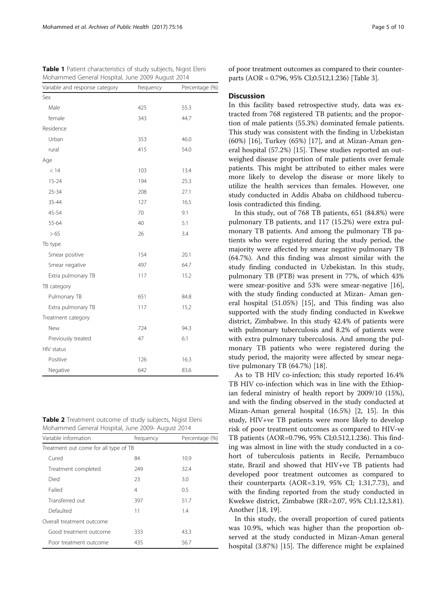| Variable and response category | frequency | Percentage (%) |  |
|--------------------------------|-----------|----------------|--|
| Sex                            |           |                |  |
| Male                           | 425       | 55.3           |  |
| female                         | 343       | 44.7           |  |
| Residence                      |           |                |  |
| Urban                          | 353       | 46.0           |  |
| rural                          | 415       | 54.0           |  |
| Age                            |           |                |  |
| < 14                           | 103       | 13.4           |  |
| $15 - 24$                      | 194       | 25.3           |  |
| 25-34                          | 208       | 27.1           |  |
| 35-44                          | 127       | 16.5           |  |
| 45-54                          | 70        | 9.1            |  |
| 55-64                          | 40        | 5.1            |  |
| >65                            | 26        | 3.4            |  |
| Tb type                        |           |                |  |
| Smear positive                 | 154       | 20.1           |  |
| Smear negative                 | 497       | 64.7           |  |
| Extra pulmonary TB             | 117       | 15.2           |  |
| TB category                    |           |                |  |
| Pulmonary TB                   | 651       | 84.8           |  |
| Extra pulmonary TB             | 117       | 15.2           |  |
| Treatment category             |           |                |  |
| New                            | 724       | 94.3           |  |
| Previously treated             | 47        | 6.1            |  |
| HIV status                     |           |                |  |
| Positive                       | 126       | 16.3           |  |
| Negative                       | 642       | 83.6           |  |

<span id="page-4-0"></span>Table 1 Patient characteristics of study subjects, Nigist Eleni Mohammed General Hospital, June 2009 August 2014

Table 2 Treatment outcome of study subjects, Nigist Eleni Mohammed General Hospital, June 2009- August 2014

| Variable information                  | frequency | Percentage (%) |  |  |  |  |  |
|---------------------------------------|-----------|----------------|--|--|--|--|--|
| Treatment out come for all type of TB |           |                |  |  |  |  |  |
| Cured                                 | 84        | 10.9           |  |  |  |  |  |
| Treatment completed                   | 249       | 32.4           |  |  |  |  |  |
| Died                                  | 23        | 3.0            |  |  |  |  |  |
| Failed                                | 4         | 0.5            |  |  |  |  |  |
| Transferred out                       | 397       | 51.7           |  |  |  |  |  |
| Defaulted                             | 11        | 1.4            |  |  |  |  |  |
| Overall treatment outcome             |           |                |  |  |  |  |  |
| Good treatment outcome                | 333       | 43.3           |  |  |  |  |  |
| Poor treatment outcome                | 435       | 56.7           |  |  |  |  |  |
|                                       |           |                |  |  |  |  |  |

of poor treatment outcomes as compared to their counterparts (AOR = 0.796, 95% CI;0.512,1.236) [Table [3\]](#page-5-0).

#### **Discussion**

In this facility based retrospective study, data was extracted from 768 registered TB patients; and the proportion of male patients (55.3%) dominated female patients. This study was consistent with the finding in Uzbekistan (60%) [\[16](#page-8-0)], Turkey (65%) [[17](#page-8-0)], and at Mizan-Aman general hospital (57.2%) [\[15\]](#page-8-0). These studies reported an outweighed disease proportion of male patients over female patients. This might be attributed to either males were more likely to develop the disease or more likely to utilize the health services than females. However, one study conducted in Addis Ababa on childhood tuberculosis contradicted this finding.

In this study, out of 768 TB patients, 651 (84.8%) were pulmonary TB patients, and 117 (15.2%) were extra pulmonary TB patients. And among the pulmonary TB patients who were registered during the study period, the majority were affected by smear negative pulmonary TB (64.7%). And this finding was almost similar with the study finding conducted in Uzbekistan. In this study, pulmonary TB (PTB) was present in 77%, of which 43% were smear-positive and 53% were smear-negative [\[16](#page-8-0)], with the study finding conducted at Mizan- Aman general hospital (51.05%) [\[15](#page-8-0)], and This finding was also supported with the study finding conducted in Kwekwe district, Zimbabwe. In this study 42.4% of patients were with pulmonary tuberculosis and 8.2% of patients were with extra pulmonary tuberculosis. And among the pulmonary TB patients who were registered during the study period, the majority were affected by smear negative pulmonary TB (64.7%) [[18\]](#page-8-0).

As to TB HIV co-infection; this study reported 16.4% TB HIV co-infection which was in line with the Ethiopian federal ministry of health report by 2009/10 (15%), and with the finding observed in the study conducted at Mizan-Aman general hospital (16.5%) [\[2](#page-8-0), [15\]](#page-8-0). In this study, HIV+ve TB patients were more likely to develop risk of poor treatment outcomes as compared to HIV-ve TB patients (AOR=0.796, 95% CI;0.512,1.236). This finding was almost in line with the study conducted in a cohort of tuberculosis patients in Recife, Pernambuco state, Brazil and showed that HIV+ve TB patients had developed poor treatment outcomes as compared to their counterparts (AOR=3.19, 95% CI; 1.31,7.73), and with the finding reported from the study conducted in Kwekwe district, Zimbabwe (RR=2.07, 95% CI;1.12,3.81). Another [[18, 19\]](#page-8-0).

In this study, the overall proportion of cured patients was 10.9%, which was higher than the proportion observed at the study conducted in Mizan-Aman general hospital (3.87%) [\[15\]](#page-8-0). The difference might be explained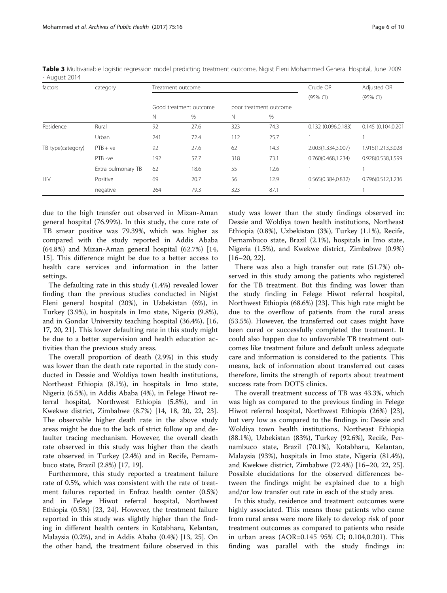| factors           | category           | Treatment outcome      |      |                        |      | Crude OR            | Adjusted OR        |
|-------------------|--------------------|------------------------|------|------------------------|------|---------------------|--------------------|
|                   |                    |                        |      |                        |      | (95% CI)            | (95% CI)           |
|                   |                    | Good treatment outcome |      | poor treatment outcome |      |                     |                    |
|                   |                    | N                      | $\%$ | Ν                      | %    |                     |                    |
| Residence         | Rural              | 92                     | 27.6 | 323                    | 74.3 | 0.132(0.096, 0.183) | 0.145 (0.104,0.201 |
|                   | Urban              | 241                    | 72.4 | 112                    | 25.7 |                     |                    |
| TB type(category) | $PTB + ve$         | 92                     | 27.6 | 62                     | 14.3 | 2.003(1.334,3.007)  | 1.915(1.213,3.028) |
|                   | PTB-ve             | 192                    | 57.7 | 318                    | 73.1 | 0.760(0.468, 1.234) | 0.928(0.538,1.599  |
|                   | Extra pulmonary TB | 62                     | 18.6 | 55                     | 12.6 |                     |                    |
| <b>HIV</b>        | Positive           | 69                     | 20.7 | 56                     | 12.9 | 0.565(0.384, 0.832) | 0.796(0.512,1.236  |
|                   | negative           | 264                    | 79.3 | 323                    | 87.1 |                     |                    |

<span id="page-5-0"></span>Table 3 Multivariable logistic regression model predicting treatment outcome, Nigist Eleni Mohammed General Hospital, June 2009 - August 2014

due to the high transfer out observed in Mizan-Aman general hospital (76.99%). In this study, the cure rate of TB smear positive was 79.39%, which was higher as compared with the study reported in Addis Ababa (64.8%) and Mizan-Aman general hospital (62.7%) [[14](#page-8-0), [15\]](#page-8-0). This difference might be due to a better access to health care services and information in the latter settings.

The defaulting rate in this study (1.4%) revealed lower finding than the previous studies conducted in Nigist Eleni general hospital (20%), in Uzbekistan (6%), in Turkey (3.9%), in hospitals in Imo state, Nigeria (9.8%), and in Gondar University teaching hospital (36.4%), [[16](#page-8-0), [17, 20](#page-8-0), [21](#page-8-0)]. This lower defaulting rate in this study might be due to a better supervision and health education activities than the previous study areas.

The overall proportion of death (2.9%) in this study was lower than the death rate reported in the study conducted in Dessie and Woldiya town health institutions, Northeast Ethiopia (8.1%), in hospitals in Imo state, Nigeria (6.5%), in Addis Ababa (4%), in Felege Hiwot referral hospital, Northwest Ethiopia (5.8%), and in Kwekwe district, Zimbabwe (8.7%) [\[14, 18](#page-8-0), [20, 22,](#page-8-0) [23](#page-9-0)]. The observable higher death rate in the above study areas might be due to the lack of strict follow up and defaulter tracing mechanism. However, the overall death rate observed in this study was higher than the death rate observed in Turkey (2.4%) and in Recife, Pernambuco state, Brazil (2.8%) [\[17, 19\]](#page-8-0).

Furthermore, this study reported a treatment failure rate of 0.5%, which was consistent with the rate of treatment failures reported in Enfraz health center (0.5%) and in Felege Hiwot referral hospital, Northwest Ethiopia (0.5%) [[23, 24\]](#page-9-0). However, the treatment failure reported in this study was slightly higher than the finding in different health centers in Kotabharu, Kelantan, Malaysia (0.2%), and in Addis Ababa (0.4%) [[13,](#page-8-0) [25\]](#page-9-0). On the other hand, the treatment failure observed in this study was lower than the study findings observed in: Dessie and Woldiya town health institutions, Northeast Ethiopia (0.8%), Uzbekistan (3%), Turkey (1.1%), Recife, Pernambuco state, Brazil (2.1%), hospitals in Imo state, Nigeria (1.5%), and Kwekwe district, Zimbabwe (0.9%) [[16](#page-8-0)–[20](#page-8-0), [22](#page-8-0)].

There was also a high transfer out rate (51.7%) observed in this study among the patients who registered for the TB treatment. But this finding was lower than the study finding in Felege Hiwot referral hospital, Northwest Ethiopia (68.6%) [[23](#page-9-0)]. This high rate might be due to the overflow of patients from the rural areas (53.5%). However, the transferred out cases might have been cured or successfully completed the treatment. It could also happen due to unfavorable TB treatment outcomes like treatment failure and default unless adequate care and information is considered to the patients. This means, lack of information about transferred out cases therefore, limits the strength of reports about treatment success rate from DOTS clinics.

The overall treatment success of TB was 43.3%, which was high as compared to the previous finding in Felege Hiwot referral hospital, Northwest Ethiopia (26%) [\[23](#page-9-0)], but very low as compared to the findings in: Dessie and Woldiya town health institutions, Northeast Ethiopia (88.1%), Uzbekistan (83%), Turkey (92.6%), Recife, Pernambuco state, Brazil (70.1%), Kotabharu, Kelantan, Malaysia (93%), hospitals in Imo state, Nigeria (81.4%), and Kwekwe district, Zimbabwe (72.4%) [\[16](#page-8-0)–[20, 22,](#page-8-0) [25](#page-9-0)]. Possible elucidations for the observed differences between the findings might be explained due to a high and/or low transfer out rate in each of the study area.

In this study, residence and treatment outcomes were highly associated. This means those patients who came from rural areas were more likely to develop risk of poor treatment outcomes as compared to patients who reside in urban areas (AOR=0.145 95% CI; 0.104,0.201). This finding was parallel with the study findings in: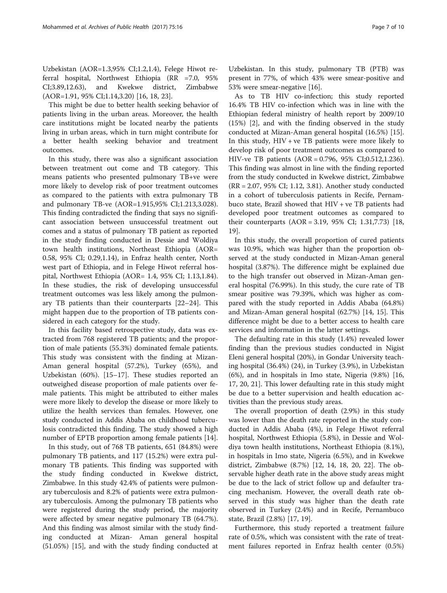Uzbekistan (AOR=1.3,95% CI;1.2,1.4), Felege Hiwot referral hospital, Northwest Ethiopia (RR =7.0, 95% CI;3.89,12.63), and Kwekwe district, Zimbabwe (AOR=1.91, 95% CI;1.14,3.20) [\[16, 18,](#page-8-0) [23\]](#page-9-0).

This might be due to better health seeking behavior of patients living in the urban areas. Moreover, the health care institutions might be located nearby the patients living in urban areas, which in turn might contribute for a better health seeking behavior and treatment outcomes.

In this study, there was also a significant association between treatment out come and TB category. This means patients who presented pulmonary TB+ve were more likely to develop risk of poor treatment outcomes as compared to the patients with extra pulmonary TB and pulmonary TB-ve (AOR=1.915,95% CI;1.213,3.028). This finding contradicted the finding that says no significant association between unsuccessful treatment out comes and a status of pulmonary TB patient as reported in the study finding conducted in Dessie and Woldiya town health institutions, Northeast Ethiopia (AOR= 0.58, 95% CI; 0.29,1.14), in Enfraz health center, North west part of Ethiopia, and in Felege Hiwot referral hospital, Northwest Ethiopia (AOR= 1.4, 95% CI; 1.13,1.84). In these studies, the risk of developing unsuccessful treatment outcomes was less likely among the pulmonary TB patients than their counterparts [[22](#page-8-0)–[24](#page-9-0)]. This might happen due to the proportion of TB patients considered in each category for the study.

In this facility based retrospective study, data was extracted from 768 registered TB patients; and the proportion of male patients (55.3%) dominated female patients. This study was consistent with the finding at Mizan-Aman general hospital (57.2%), Turkey (65%), and Uzbekistan (60%). [[15](#page-8-0)–[17\]](#page-8-0). These studies reported an outweighed disease proportion of male patients over female patients. This might be attributed to either males were more likely to develop the disease or more likely to utilize the health services than females. However, one study conducted in Addis Ababa on childhood tuberculosis contradicted this finding. The study showed a high number of EPTB proportion among female patients [\[14](#page-8-0)].

In this study, out of 768 TB patients, 651 (84.8%) were pulmonary TB patients, and 117 (15.2%) were extra pulmonary TB patients. This finding was supported with the study finding conducted in Kwekwe district, Zimbabwe. In this study 42.4% of patients were pulmonary tuberculosis and 8.2% of patients were extra pulmonary tuberculosis. Among the pulmonary TB patients who were registered during the study period, the majority were affected by smear negative pulmonary TB (64.7%). And this finding was almost similar with the study finding conducted at Mizan- Aman general hospital (51.05%) [\[15\]](#page-8-0), and with the study finding conducted at

Uzbekistan. In this study, pulmonary TB (PTB) was present in 77%, of which 43% were smear-positive and 53% were smear-negative [\[16\]](#page-8-0).

As to TB HIV co-infection; this study reported 16.4% TB HIV co-infection which was in line with the Ethiopian federal ministry of health report by 2009/10 (15%) [[2\]](#page-8-0), and with the finding observed in the study conducted at Mizan-Aman general hospital (16.5%) [\[15](#page-8-0)]. In this study,  $HIV + ve TB$  patients were more likely to develop risk of poor treatment outcomes as compared to HIV-ve TB patients (AOR = 0.796, 95% CI;0.512,1.236). This finding was almost in line with the finding reported from the study conducted in Kwekwe district, Zimbabwe (RR = 2.07, 95% CI; 1.12, 3.81). Another study conducted in a cohort of tuberculosis patients in Recife, Pernambuco state, Brazil showed that HIV + ve TB patients had developed poor treatment outcomes as compared to their counterparts (AOR = 3.19, 95% CI; 1.31,7.73) [[18](#page-8-0), [19\]](#page-8-0).

In this study, the overall proportion of cured patients was 10.9%, which was higher than the proportion observed at the study conducted in Mizan-Aman general hospital (3.87%). The difference might be explained due to the high transfer out observed in Mizan-Aman general hospital (76.99%). In this study, the cure rate of TB smear positive was 79.39%, which was higher as compared with the study reported in Addis Ababa (64.8%) and Mizan-Aman general hospital (62.7%) [\[14](#page-8-0), [15\]](#page-8-0). This difference might be due to a better access to health care services and information in the latter settings.

The defaulting rate in this study (1.4%) revealed lower finding than the previous studies conducted in Nigist Eleni general hospital (20%), in Gondar University teaching hospital (36.4%) (24), in Turkey (3.9%), in Uzbekistan (6%), and in hospitals in Imo state, Nigeria (9.8%) [[16](#page-8-0), [17, 20](#page-8-0), [21](#page-8-0)]. This lower defaulting rate in this study might be due to a better supervision and health education activities than the previous study areas.

The overall proportion of death (2.9%) in this study was lower than the death rate reported in the study conducted in Addis Ababa (4%), in Felege Hiwot referral hospital, Northwest Ethiopia (5.8%), in Dessie and Woldiya town health institutions, Northeast Ethiopia (8.1%), in hospitals in Imo state, Nigeria (6.5%), and in Kwekwe district, Zimbabwe (8.7%) [[12](#page-8-0), [14, 18, 20](#page-8-0), [22\]](#page-8-0). The observable higher death rate in the above study areas might be due to the lack of strict follow up and defaulter tracing mechanism. However, the overall death rate observed in this study was higher than the death rate observed in Turkey (2.4%) and in Recife, Pernambuco state, Brazil (2.8%) [\[17](#page-8-0), [19\]](#page-8-0).

Furthermore, this study reported a treatment failure rate of 0.5%, which was consistent with the rate of treatment failures reported in Enfraz health center (0.5%)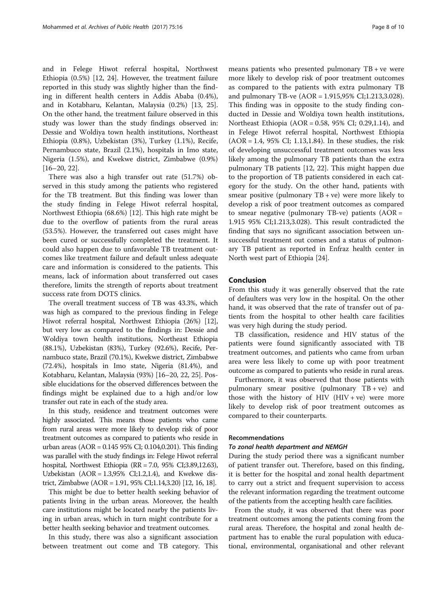and in Felege Hiwot referral hospital, Northwest Ethiopia (0.5%) [[12,](#page-8-0) [24\]](#page-9-0). However, the treatment failure reported in this study was slightly higher than the finding in different health centers in Addis Ababa (0.4%), and in Kotabharu, Kelantan, Malaysia (0.2%) [\[13](#page-8-0), [25](#page-9-0)]. On the other hand, the treatment failure observed in this study was lower than the study findings observed in: Dessie and Woldiya town health institutions, Northeast Ethiopia (0.8%), Uzbekistan (3%), Turkey (1.1%), Recife, Pernambuco state, Brazil (2.1%), hospitals in Imo state, Nigeria (1.5%), and Kwekwe district, Zimbabwe (0.9%) [[16](#page-8-0)–[20](#page-8-0), [22](#page-8-0)].

There was also a high transfer out rate (51.7%) observed in this study among the patients who registered for the TB treatment. But this finding was lower than the study finding in Felege Hiwot referral hospital, Northwest Ethiopia (68.6%) [[12](#page-8-0)]. This high rate might be due to the overflow of patients from the rural areas (53.5%). However, the transferred out cases might have been cured or successfully completed the treatment. It could also happen due to unfavorable TB treatment outcomes like treatment failure and default unless adequate care and information is considered to the patients. This means, lack of information about transferred out cases therefore, limits the strength of reports about treatment success rate from DOTS clinics.

The overall treatment success of TB was 43.3%, which was high as compared to the previous finding in Felege Hiwot referral hospital, Northwest Ethiopia (26%) [[12](#page-8-0)], but very low as compared to the findings in: Dessie and Woldiya town health institutions, Northeast Ethiopia (88.1%), Uzbekistan (83%), Turkey (92.6%), Recife, Pernambuco state, Brazil (70.1%), Kwekwe district, Zimbabwe (72.4%), hospitals in Imo state, Nigeria (81.4%), and Kotabharu, Kelantan, Malaysia (93%) [[16](#page-8-0)–[20, 22](#page-8-0), [25\]](#page-9-0). Possible elucidations for the observed differences between the findings might be explained due to a high and/or low transfer out rate in each of the study area.

In this study, residence and treatment outcomes were highly associated. This means those patients who came from rural areas were more likely to develop risk of poor treatment outcomes as compared to patients who reside in urban areas (AOR = 0.145 95% CI; 0.104,0.201). This finding was parallel with the study findings in: Felege Hiwot referral hospital, Northwest Ethiopia (RR = 7.0, 95% CI;3.89,12.63), Uzbekistan  $(AOR = 1.3,95\% \text{ CI};1.2,1.4)$ , and Kwekwe district, Zimbabwe (AOR = 1.91, 95% CI;1.14,3.20) [\[12, 16, 18\]](#page-8-0).

This might be due to better health seeking behavior of patients living in the urban areas. Moreover, the health care institutions might be located nearby the patients living in urban areas, which in turn might contribute for a better health seeking behavior and treatment outcomes.

In this study, there was also a significant association between treatment out come and TB category. This

means patients who presented pulmonary  $TB + ve$  were more likely to develop risk of poor treatment outcomes as compared to the patients with extra pulmonary TB and pulmonary TB-ve (AOR = 1.915,95% CI;1.213,3.028). This finding was in opposite to the study finding conducted in Dessie and Woldiya town health institutions, Northeast Ethiopia (AOR = 0.58, 95% CI; 0.29,1.14), and in Felege Hiwot referral hospital, Northwest Ethiopia (AOR = 1.4, 95% CI; 1.13,1.84). In these studies, the risk of developing unsuccessful treatment outcomes was less likely among the pulmonary TB patients than the extra pulmonary TB patients [\[12, 22](#page-8-0)]. This might happen due to the proportion of TB patients considered in each category for the study. On the other hand, patients with smear positive (pulmonary  $TB + ve$ ) were more likely to develop a risk of poor treatment outcomes as compared to smear negative (pulmonary TB-ve) patients (AOR = 1.915 95% CI;1.213,3.028). This result contradicted the finding that says no significant association between unsuccessful treatment out comes and a status of pulmonary TB patient as reported in Enfraz health center in North west part of Ethiopia [[24\]](#page-9-0).

## Conclusion

From this study it was generally observed that the rate of defaulters was very low in the hospital. On the other hand, it was observed that the rate of transfer out of patients from the hospital to other health care facilities was very high during the study period.

TB classification, residence and HIV status of the patients were found significantly associated with TB treatment outcomes, and patients who came from urban area were less likely to come up with poor treatment outcome as compared to patients who reside in rural areas.

Furthermore, it was observed that those patients with pulmonary smear positive (pulmonary TB + ve) and those with the history of HIV  $(HIV + ve)$  were more likely to develop risk of poor treatment outcomes as compared to their counterparts.

#### Recommendations

# To zonal health department and NEMGH

During the study period there was a significant number of patient transfer out. Therefore, based on this finding, it is better for the hospital and zonal health department to carry out a strict and frequent supervision to access the relevant information regarding the treatment outcome of the patients from the accepting health care facilities.

From the study, it was observed that there was poor treatment outcomes among the patients coming from the rural areas. Therefore, the hospital and zonal health department has to enable the rural population with educational, environmental, organisational and other relevant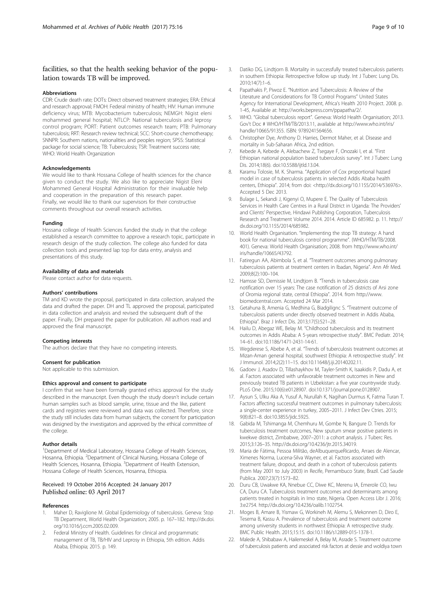# <span id="page-8-0"></span>facilities, so that the health seeking behavior of the population towards TB will be improved.

#### Abbreviations

CDR: Crude death rate; DOTs: Direct observed treatment strategies; ERA: Ethical and research approval; FMOH: Federal ministry of health; HIV: Human immune deficiency virus; MTB: Mycobacterium tuberculosis; NEMGH: Nigist eleni mohammed general hospital; NTLCP: National tuberculosis and leprosy control program; PORT: Patient outcomes research team; PTB: Pulmonary tuberculosis; RRT: Research review technical; SCC: Short-course chemotherapy; SNNPR: Southern nations, nationalities and peoples region; SPSS: Statistical package for social science; TB: Tuberculosis; TSR: Treatment success rate; WHO: World Health Organization

#### Acknowledgements

We would like to thank Hossana College of health sciences for the chance given to conduct the study. We also like to appreciate Nigist Eleni Mohammed General Hospital Administration for their invaluable help and cooperation in the preparation of this research paper. Finally, we would like to thank our supervisors for their constructive comments throughout our overall research activities.

#### Funding

Hossana college of Health Sciences funded the study in that the college established a research committee to approve a research topic, participate in research design of the study collection. The college also funded for data collection tools and presented lap top for data entry, analysis and presentations of this study.

#### Availability of data and materials

Please contact author for data requests.

#### Authors' contributions

TM and KD wrote the proposal, participated in data collection, analysed the data and drafted the paper. DH and TL approved the proposal, participated in data collection and analysis and revised the subsequent draft of the paper. Finally, DH prepared the paper for publication. All authors read and approved the final manuscript.

#### Competing interests

The authors declare that they have no competing interests.

#### Consent for publication

Not applicable to this submission.

#### Ethics approval and consent to participate

I confirm that we have been formally granted ethics approval for the study described in the manuscript. Even though the study doesn't include certain human samples such as blood sample, urine, tissue and the like, patient cards and registries were reviewed and data was collected. Therefore, since the study still includes data from human subjects, the consent for participation was designed by the investigators and approved by the ethical committee of the college.

#### Author details

<sup>1</sup>Department of Medical Laboratory, Hossana College of Health Sciences, Hosanna, Ethiopia. <sup>2</sup>Department of Clinical Nursing, Hossana College of Health Sciences, Hosanna, Ethiopia. <sup>3</sup>Department of Health Extension, Hossana College of Health Sciences, Hosanna, Ethiopia.

#### Received: 19 October 2016 Accepted: 24 January 2017 Published online: 03 April 2017

#### References

- Maher D, Raviglione M. Global Epidemiology of tuberculosis. Geneva: Stop TB Department, World Health Organization; 2005. p. 167–182. [http://dx.doi.](http://dx.doi.org/10.1016/j.ccm.2005.02.009) [org/10.1016/j.ccm.2005.02.009.](http://dx.doi.org/10.1016/j.ccm.2005.02.009)
- 2. Federal Ministry of Health. Guidelines for clinical and programmatic management of TB, TB/HIV and Leprosy in Ethiopia, 5th edition. Addis Ababa, Ethiopia; 2015. p. 149.
- 3. Datiko DG, Lindtjorn B. Mortality in successfully treated tuberculosis patients in southern Ethiopia: Retrospective follow up study. Int J Tuberc Lung Dis. 2010;14(7):1–6.
- Papathakis P, Piwoz E. "Nutrition and Tuberculosis: A Review of the Literature and Considerations for TB Control Programs" United States Agency for International Development, Africa's Health 2010 Project. 2008. p. 1-45, Available at: [http://works.bepress.com/ppapatha/2/.](http://works.bepress.com/ppapatha/2/)
- 5. WHO. "Global tuberculosis report". Geneva: World Health Organisation; 2013. Gov't Doc # WHO/HTM/TB/2013.11, available at [http://www.who.int/iris/](http://www.who.int/iris/handle/10665/91355) [handle/10665/91355](http://www.who.int/iris/handle/10665/91355). ISBN: 9789241564656.
- 6. Christopher Dye, Anthony D. Harries, Dermot Maher, et al. Disease and mortality in Sub-Saharan Africa, 2nd edition.
- 7. Kebede A, Kebede A, Alebachew Z, Tsegaye F, Onozaki I, et al. "First Ethiopian national population based tuberculosis survey". Int J Tuberc Lung Dis. 2014;18(6). doi[:10.5588/ijtld.13.04.](http://dx.doi.org/10.5588/ijtld.13.04)
- 8. Karamu Tolosie, M. K. Sharma. "Application of Cox proportional hazard model in case of tuberculosis patients in selected Addis Ababa health centers, Ethiopia". 2014; from doi: [<http://dx.doi.org/10.1155/2014/536976>](http://dx.doi.org/10.1155/2014/536976). Accepted 5 Dec 2013.
- 9. Bulage L, Sekandi J, Kigenyi O, Mupere E. The Quality of Tuberculosis Services in Health Care Centres in a Rural District in Uganda: The Providers' and Clients' Perspective, Hindawi Publishing Corporation, Tuberculosis Research and Treatment Volume 2014. 2014. Article ID 685982. p. 11. [http://](http://dx.doi.org/10.1155/2014/685982) [dx.doi.org/10.1155/2014/685982.](http://dx.doi.org/10.1155/2014/685982)
- 10. World Health Organisation. "Implementing the stop TB strategy: A hand book for national tuberculosis control programme". (WHO/HTM/TB/2008. 401). Geneva: World Health Organisation; 2008. from [http://www.who.int/](http://www.who.int/iris/handle/10665/43792) [iris/handle/10665/43792](http://www.who.int/iris/handle/10665/43792).
- 11. Fatiregun AA, Abimbola S, et al. "Treatment outcomes among pulmonary tuberculosis patients at treatment centers in Ibadan, Nigeria". Ann Afr Med. 2009;8(2):100–104.
- 12. Hamsse SD, Demissie M, Lindtjorn B. "Trends in tuberculosis case notification over 15 years: The case notification of 25 districts of Arsi zone of Oromia regional state, central Ethiopia". 2014. from [http://www.](http://www.biomedcentral.com) [biomedcentral.com.](http://www.biomedcentral.com) Accepted 24 Mar 2014.
- 13. Getahuna B, Amenia G, Medhina G, Biadgilignc S. "Treatment outcome of tuberculosis patients under directly observed treatment in Addis Ababa, Ethiopia". Braz J Infect Dis. 2013;17(5):521–28.
- 14. Hailu D, Abegaz WE, Belay M. "Childhood tuberculosis and its treatment outcomes in Addis Ababa: A 5-years retrospective study". BMC Pediatr. 2014; 14–61. doi:[10.1186/1471-2431-14-61.](http://dx.doi.org/10.1186/1471-2431-14-61)
- 15. Wegderese S, Abebe A, et al. "Trends of tuberculosis treatment outcomes at Mizan-Aman general hospital, southwest Ethiopia: A retrospective study". Int J Immunol. 2014;2(2):11–15. doi:[10.11648/j.iji.20140202.11.](http://dx.doi.org/10.11648/j.iji.20140202.11)
- 16. Gadoev J, Asadov D, Tillashaykhov M, Tayler-Smith K, Isaakidis P, Dadu A, et al. Factors associated with unfavorable treatment outcomes in New and previously treated TB patients in Uzbekistan: a five year countrywide study. PLoS One. 2015;10(6):e0128907. doi:[10.1371/journal.pone.0128907.](http://dx.doi.org/10.1371/journal.pone.0128907)
- 17. Aysun S, Ulku Aka A, Yusuf A, Nurullah K, Nagihan Durmus K, Fatma Turan T. Factors affecting successful treatment outcomes in pulmonary tuberculosis: a single-center experience in turkey, 2005–2011. J Infect Dev Ctries. 2015; 9(8):821–8. doi[:10.3855/jidc.5925](http://dx.doi.org/10.3855/jidc.5925).
- 18. Gabida M, Tshimanga M, Chemhuru M, Gombe N, Bangure D. Trends for tuberculosis treatment outcomes, New sputum smear positive patients in kwekwe district, Zimbabwe, 2007–2011: a cohort analysis. J Tuberc Res. 2015;3:126–35. [http://dx.doi.org/10.4236/jtr.2015.34019.](http://dx.doi.org/10.4236/jtr.2015.34019)
- 19. Maria de Fátima, Pessoa Militão, deAlbuquerqueRicardo, Arraes de Alencar, Ximenes Norma, Lucena-Silva Wayner, et al. Factors associated with treatment failure, dropout, and death in a cohort of tuberculosis patients (from May 2001 to July 2003) in Recife, Pernambuco State, Brazil. Cad Saude Publica. 2007;23(7):1573–82.
- 20. Duru CB, Uwakwe KA, Nnebue CC, Diwe KC, Merenu IA, Emerole CO, Iwu CA, Duru CA. Tuberculosis treatment outcomes and determinants among patients treated in hospitals in Imo state, Nigeria. Open Access Libr J. 2016; 3:e2754.<http://dx.doi.org/10.4236/oalib.1102754>.
- 21. Moges B, Amare B, Yismaw G, Workineh M, Alemu S, Mekonnen D, Diro E, Tesema B, Kassu A. Prevalence of tuberculosis and treatment outcome among university students in northwest Ethiopia: A retrospective study. BMC Public Health. 2015;15:15. doi[:10.1186/s12889-015-1378-1.](http://dx.doi.org/10.1186/s12889-015-1378-1)
- 22. Malede A, Shibabaw A, Hailemeskel A, Belay M, Asrade S. Treatment outcome of tuberculosis patients and associated risk factors at dessie and woldiya town